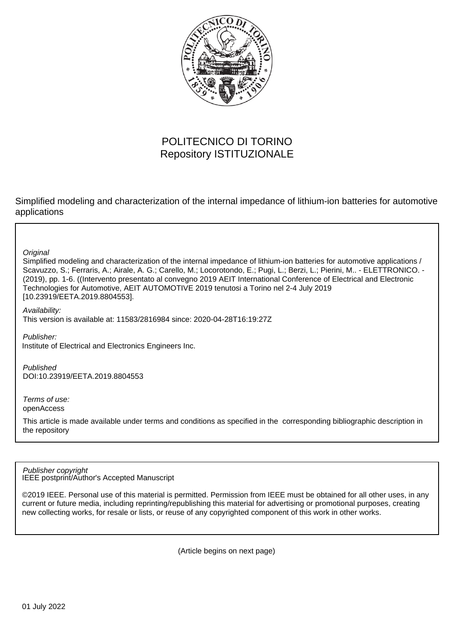

# POLITECNICO DI TORINO Repository ISTITUZIONALE

Simplified modeling and characterization of the internal impedance of lithium-ion batteries for automotive applications

**Original** 

Simplified modeling and characterization of the internal impedance of lithium-ion batteries for automotive applications / Scavuzzo, S.; Ferraris, A.; Airale, A. G.; Carello, M.; Locorotondo, E.; Pugi, L.; Berzi, L.; Pierini, M.. - ELETTRONICO. - (2019), pp. 1-6. ((Intervento presentato al convegno 2019 AEIT International Conference of Electrical and Electronic Technologies for Automotive, AEIT AUTOMOTIVE 2019 tenutosi a Torino nel 2-4 July 2019 [10.23919/EETA.2019.8804553].

Availability: This version is available at: 11583/2816984 since: 2020-04-28T16:19:27Z

Publisher: Institute of Electrical and Electronics Engineers Inc.

Published DOI:10.23919/EETA.2019.8804553

Terms of use: openAccess

This article is made available under terms and conditions as specified in the corresponding bibliographic description in the repository

IEEE postprint/Author's Accepted Manuscript Publisher copyright

©2019 IEEE. Personal use of this material is permitted. Permission from IEEE must be obtained for all other uses, in any current or future media, including reprinting/republishing this material for advertising or promotional purposes, creating new collecting works, for resale or lists, or reuse of any copyrighted component of this work in other works.

(Article begins on next page)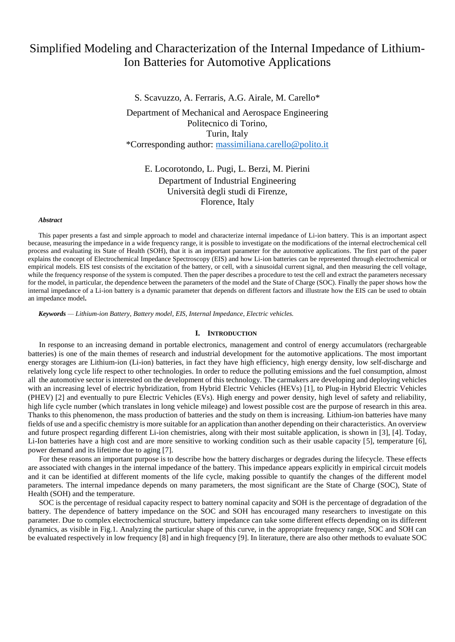# Simplified Modeling and Characterization of the Internal Impedance of Lithium-Ion Batteries for Automotive Applications

S. Scavuzzo, A. Ferraris, A.G. Airale, M. Carello\* Department of Mechanical and Aerospace Engineering Politecnico di Torino, Turin, Italy \*Corresponding author: [massimiliana.carello@polito.it](mailto:massimiliana.carello@polito.it)

E. Locorotondo, L. Pugi, L. Berzi, M. Pierini Department of Industrial Engineering Università degli studi di Firenze, Florence, Italy

#### *Abstract*

This paper presents a fast and simple approach to model and characterize internal impedance of Li-ion battery. This is an important aspect because, measuring the impedance in a wide frequency range, it is possible to investigate on the modifications of the internal electrochemical cell process and evaluating its State of Health (SOH), that it is an important parameter for the automotive applications. The first part of the paper explains the concept of Electrochemical Impedance Spectroscopy (EIS) and how Li-ion batteries can be represented through electrochemical or empirical models. EIS test consists of the excitation of the battery, or cell, with a sinusoidal current signal, and then measuring the cell voltage, while the frequency response of the system is computed. Then the paper describes a procedure to test the cell and extract the parameters necessary for the model, in particular, the dependence between the parameters of the model and the State of Charge (SOC). Finally the paper shows how the internal impedance of a Li-ion battery is a dynamic parameter that depends on different factors and illustrate how the EIS can be used to obtain an impedance model**.**

*Keywords — Lithium-ion Battery, Battery model, EIS, Internal Impedance, Electric vehicles.*

#### **I. INTRODUCTION**

In response to an increasing demand in portable electronics, management and control of energy accumulators (rechargeable batteries) is one of the main themes of research and industrial development for the automotive applications. The most important energy storages are Lithium-ion (Li-ion) batteries, in fact they have high efficiency, high energy density, low self-discharge and relatively long cycle life respect to other technologies. In order to reduce the polluting emissions and the fuel consumption, almost all the automotive sector is interested on the development of this technology. The carmakers are developing and deploying vehicles with an increasing level of electric hybridization, from Hybrid Electric Vehicles (HEVs) [1], to Plug-in Hybrid Electric Vehicles (PHEV) [2] and eventually to pure Electric Vehicles (EVs). High energy and power density, high level of safety and reliability, high life cycle number (which translates in long vehicle mileage) and lowest possible cost are the purpose of research in this area. Thanks to this phenomenon, the mass production of batteries and the study on them is increasing. Lithium-ion batteries have many fields of use and a specific chemistry is more suitable for an application than another depending on their characteristics. An overview and future prospect regarding different Li-ion chemistries, along with their most suitable application, is shown in [3], [4]. Today, Li-Ion batteries have a high cost and are more sensitive to working condition such as their usable capacity [5], temperature [6], power demand and its lifetime due to aging [7].

For these reasons an important purpose is to describe how the battery discharges or degrades during the lifecycle. These effects are associated with changes in the internal impedance of the battery. This impedance appears explicitly in empirical circuit models and it can be identified at different moments of the life cycle, making possible to quantify the changes of the different model parameters. The internal impedance depends on many parameters, the most significant are the State of Charge (SOC), State of Health (SOH) and the temperature.

SOC is the percentage of residual capacity respect to battery nominal capacity and SOH is the percentage of degradation of the battery. The dependence of battery impedance on the SOC and SOH has encouraged many researchers to investigate on this parameter. Due to complex electrochemical structure, battery impedance can take some different effects depending on its different dynamics, as visible in Fig.1. Analyzing the particular shape of this curve, in the appropriate frequency range, SOC and SOH can be evaluated respectively in low frequency [8] and in high frequency [9]. In literature, there are also other methods to evaluate SOC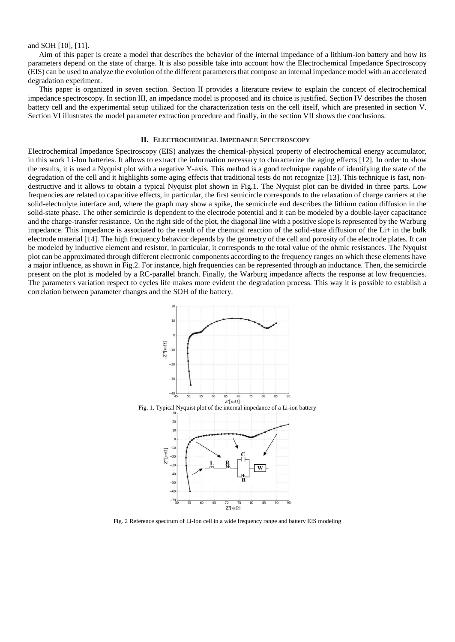# and SOH [10], [11].

Aim of this paper is create a model that describes the behavior of the internal impedance of a lithium-ion battery and how its parameters depend on the state of charge. It is also possible take into account how the Electrochemical Impedance Spectroscopy (EIS) can be used to analyze the evolution of the different parameters that compose an internal impedance model with an accelerated degradation experiment.

This paper is organized in seven section. Section II provides a literature review to explain the concept of electrochemical impedance spectroscopy. In section III, an impedance model is proposed and its choice is justified. Section IV describes the chosen battery cell and the experimental setup utilized for the characterization tests on the cell itself, which are presented in section V. Section VI illustrates the model parameter extraction procedure and finally, in the section VII shows the conclusions.

## **II. ELECTROCHEMICAL IMPEDANCE SPECTROSCOPY**

Electrochemical Impedance Spectroscopy (EIS) analyzes the chemical-physical property of electrochemical energy accumulator, in this work Li-Ion batteries. It allows to extract the information necessary to characterize the aging effects [12]. In order to show the results, it is used a Nyquist plot with a negative Y-axis. This method is a good technique capable of identifying the state of the degradation of the cell and it highlights some aging effects that traditional tests do not recognize [13]. This technique is fast, nondestructive and it allows to obtain a typical Nyquist plot shown in Fig.1. The Nyquist plot can be divided in three parts. Low frequencies are related to capacitive effects, in particular, the first semicircle corresponds to the relaxation of charge carriers at the solid-electrolyte interface and, where the graph may show a spike, the semicircle end describes the lithium cation diffusion in the solid-state phase. The other semicircle is dependent to the electrode potential and it can be modeled by a double-layer capacitance and the charge-transfer resistance. On the right side of the plot, the diagonal line with a positive slope is represented by the Warburg impedance. This impedance is associated to the result of the chemical reaction of the solid-state diffusion of the Li+ in the bulk electrode material [14]. The high frequency behavior depends by the geometry of the cell and porosity of the electrode plates. It can be modeled by inductive element and resistor, in particular, it corresponds to the total value of the ohmic resistances. The Nyquist plot can be approximated through different electronic components according to the frequency ranges on which these elements have a major influence, as shown in Fig.2. For instance, high frequencies can be represented through an inductance. Then, the semicircle present on the plot is modeled by a RC-parallel branch. Finally, the Warburg impedance affects the response at low frequencies. The parameters variation respect to cycles life makes more evident the degradation process. This way it is possible to establish a correlation between parameter changes and the SOH of the battery.



Fig. 2 Reference spectrum of Li-Ion cell in a wide frequency range and battery EIS modeling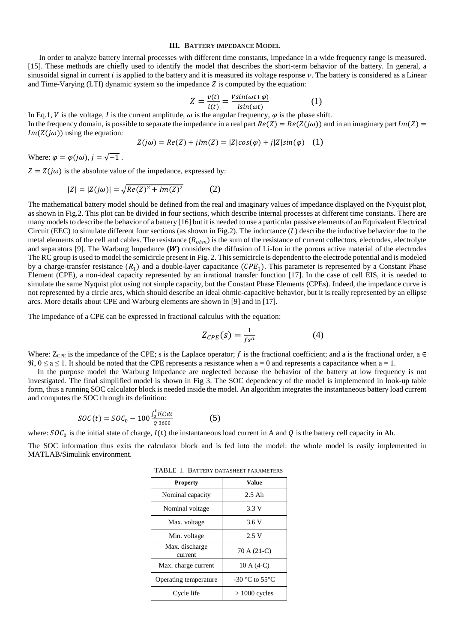# **III. BATTERY IMPEDANCE MODEL**

In order to analyze battery internal processes with different time constants, impedance in a wide frequency range is measured. [15]. These methods are chiefly used to identify the model that describes the short-term behavior of the battery. In general, a sinusoidal signal in current  $i$  is applied to the battery and it is measured its voltage response  $\nu$ . The battery is considered as a Linear and Time-Varying  $(LTI)$  dynamic system so the impedance  $Z$  is computed by the equation:

$$
Z = \frac{v(t)}{i(t)} = \frac{V\sin(\omega t + \varphi)}{\text{Isin}(\omega t)}\tag{1}
$$

In Eq.1, V is the voltage, I is the current amplitude,  $\omega$  is the angular frequency,  $\varphi$  is the phase shift. In the frequency domain, is possible to separate the impedance in a real part  $Re(Z) = Re(Z(i\omega))$  and in an imaginary part  $Im(Z)$  $Im(Z(i\omega))$  using the equation:

$$
Z(j\omega) = Re(Z) + jIm(Z) = |Z|cos(\varphi) + j|Z|sin(\varphi)
$$
 (1)

Where:  $\varphi = \varphi(i\omega)$ ,  $i = \sqrt{-1}$ .

 $Z = Z(i\omega)$  is the absolute value of the impedance, expressed by:

$$
|Z| = |Z(j\omega)| = \sqrt{Re(Z)^2 + Im(Z)^2}
$$
 (2)

The mathematical battery model should be defined from the real and imaginary values of impedance displayed on the Nyquist plot, as shown in Fig.2. This plot can be divided in four sections, which describe internal processes at different time constants. There are many models to describe the behavior of a battery [16] but it is needed to use a particular passive elements of an Equivalent Electrical Circuit (EEC) to simulate different four sections (as shown in Fig.2). The inductance (*L*) describe the inductive behavior due to the metal elements of the cell and cables. The resistance ( $R_{ohm}$ ) is the sum of the resistance of current collectors, electrodes, electrolyte and separators [9]. The Warburg Impedance  $(W)$  considers the diffusion of Li-Ion in the porous active material of the electrodes The RC group is used to model the semicircle present in Fig. 2. This semicircle is dependent to the electrode potential and is modeled by a charge-transfer resistance  $(R_1)$  and a double-layer capacitance  $(CPE_1)$ . This parameter is represented by a Constant Phase Element (CPE), a non-ideal capacity represented by an irrational transfer function [17]. In the case of cell EIS, it is needed to simulate the same Nyquist plot using not simple capacity, but the Constant Phase Elements (CPEs). Indeed, the impedance curve is not represented by a circle arcs, which should describe an ideal ohmic-capacitive behavior, but it is really represented by an ellipse arcs. More details about CPE and Warburg elements are shown in [9] and in [17].

The impedance of a CPE can be expressed in fractional calculus with the equation:

$$
Z_{CPE}(s) = \frac{1}{fs^a} \tag{4}
$$

Where:  $Z_{\text{CPE}}$  is the impedance of the CPE; s is the Laplace operator; f is the fractional coefficient; and a is the fractional order, a  $\in$  $\Re$ ,  $0 \le a \le 1$ . It should be noted that the CPE represents a resistance when  $a = 0$  and represents a capacitance when  $a = 1$ .

 In the purpose model the Warburg Impedance are neglected because the behavior of the battery at low frequency is not investigated. The final simplified model is shown in Fig 3. The SOC dependency of the model is implemented in look-up table form, thus a running SOC calculator block is needed inside the model. An algorithm integrates the instantaneous battery load current and computes the SOC through its definition:

$$
SOC(t) = SOC_0 - 100 \frac{\int_0^t I(t)dt}{Q \cdot 3600}
$$
 (5)

where:  $SOC_0$  is the initial state of charge,  $I(t)$  the instantaneous load current in A and Q is the battery cell capacity in Ah.

The SOC information thus exits the calculator block and is fed into the model: the whole model is easily implemented in MATLAB/Simulink environment.

| <b>Property</b>           | <b>Value</b>     |
|---------------------------|------------------|
| Nominal capacity          | $2.5$ Ah         |
| Nominal voltage           | 3.3 V            |
| Max. voltage              | 3.6 V            |
| Min. voltage              | 2.5 V            |
| Max. discharge<br>current | 70 A (21-C)      |
| Max. charge current       | $10A(4-C)$       |
| Operating temperature     | $-30$ °C to 55°C |
| Cycle life                | $> 1000$ cycles  |

<span id="page-3-0"></span>TABLE I. BATTERY DATASHEET PARAMETERS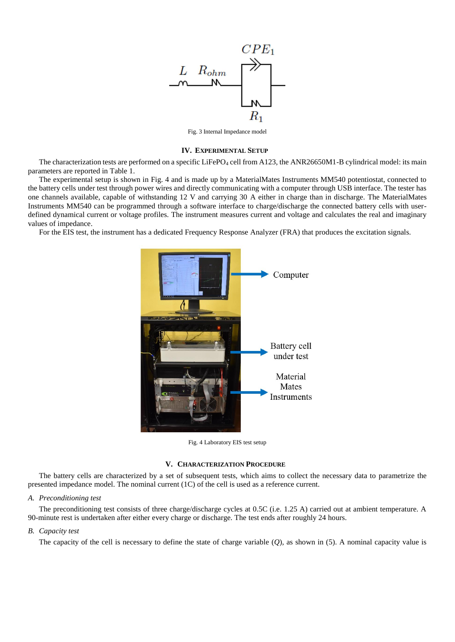

Fig. 3 Internal Impedance model

### **IV. EXPERIMENTAL SETUP**

The characterization tests are performed on a specific LiFePO<sub>4</sub> cell from A123, the ANR26650M1-B cylindrical model: its main parameters are reported in Table 1.

The experimental setup is shown in Fig. 4 and is made up by a MaterialMates Instruments MM540 potentiostat, connected to the battery cells under test through power wires and directly communicating with a computer through USB interface. The tester has one channels available, capable of withstanding 12 V and carrying 30 A either in charge than in discharge. The MaterialMates Instruments MM540 can be programmed through a software interface to charge/discharge the connected battery cells with userdefined dynamical current or voltage profiles. The instrument measures current and voltage and calculates the real and imaginary values of impedance.

For the EIS test, the instrument has a dedicated Frequency Response Analyzer (FRA) that produces the excitation signals.



Fig. 4 Laboratory EIS test setup

#### **V. CHARACTERIZATION PROCEDURE**

The battery cells are characterized by a set of subsequent tests, which aims to collect the necessary data to parametrize the presented impedance model. The nominal current (1C) of the cell is used as a reference current.

## *A. Preconditioning test*

The preconditioning test consists of three charge/discharge cycles at 0.5C (i.e. 1.25 A) carried out at ambient temperature. A 90-minute rest is undertaken after either every charge or discharge. The test ends after roughly 24 hours.

#### *B. Capacity test*

The capacity of the cell is necessary to define the state of charge variable (*Q*), as shown in (5). A nominal capacity value is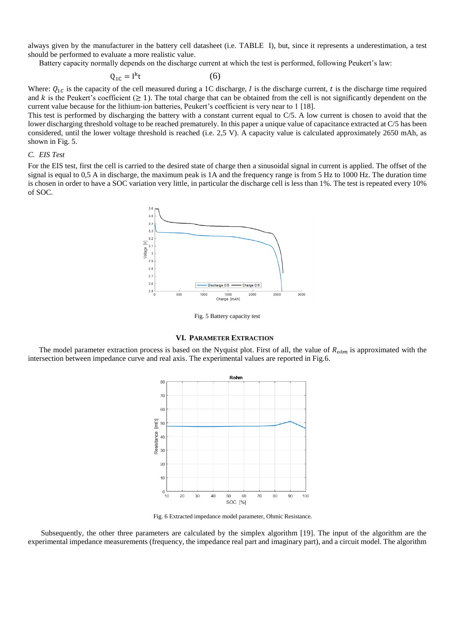always given by the manufacturer in the battery cell datasheet (i.e. [TABLE I\)](#page-3-0), but, since it represents a underestimation, a test should be performed to evaluate a more realistic value.

Battery capacity normally depends on the discharge current at which the test is performed, following Peukert's law:

$$
Q_{1C} = I^k t \tag{6}
$$

Where:  $Q_{1c}$  is the capacity of the cell measured during a 1C discharge, I is the discharge current, t is the discharge time required and k is the Peukert's coefficient ( $\geq 1$ ). The total charge that can be obtained from the cell is not significantly dependent on the current value because for the lithium-ion batteries, Peukert's coefficient is very near to 1 [18].

This test is performed by discharging the battery with a constant current equal to C/5. A low current is chosen to avoid that the lower discharging threshold voltage to be reached prematurely. In this paper a unique value of capacitance extracted at C/5 has been considered, until the lower voltage threshold is reached (i.e. 2,5 V). A capacity value is calculated approximately 2650 mAh, as shown in Fig. 5.

# *C. EIS Test*

For the EIS test, first the cell is carried to the desired state of charge then a sinusoidal signal in current is applied. The offset of the signal is equal to 0,5 A in discharge, the maximum peak is 1A and the frequency range is from 5 Hz to 1000 Hz. The duration time is chosen in order to have a SOC variation very little, in particular the discharge cell is less than 1%. The test is repeated every 10% of SOC.



Fig. 5 Battery capacity test

### **VI. PARAMETER EXTRACTION**

The model parameter extraction process is based on the Nyquist plot. First of all, the value of  $R_{ohm}$  is approximated with the intersection between impedance curve and real axis. The experimental values are reported in Fig.6.



Fig. 6 Extracted impedance model parameter, Ohmic Resistance.

Subsequently, the other three parameters are calculated by the simplex algorithm [19]. The input of the algorithm are the experimental impedance measurements (frequency, the impedance real part and imaginary part), and a circuit model. The algorithm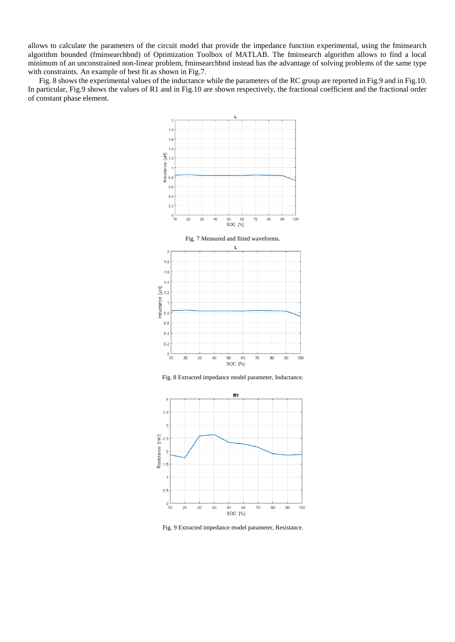allows to calculate the parameters of the circuit model that provide the impedance function experimental, using the fminsearch algorithm bounded (fminsearchbnd) of Optimization Toolbox of MATLAB. The fminsearch algorithm allows to find a local minimum of an unconstrained non-linear problem, fminsearchbnd instead has the advantage of solving problems of the same type with constraints. An example of best fit as shown in Fig.7.

Fig. 8 shows the experimental values of the inductance while the parameters of the RC group are reported in Fig.9 and in Fig.10. In particular, Fig.9 shows the values of R1 and in Fig.10 are shown respectively, the fractional coefficient and the fractional order of constant phase element.





Fig. 9 Extracted impedance model parameter, Resistance.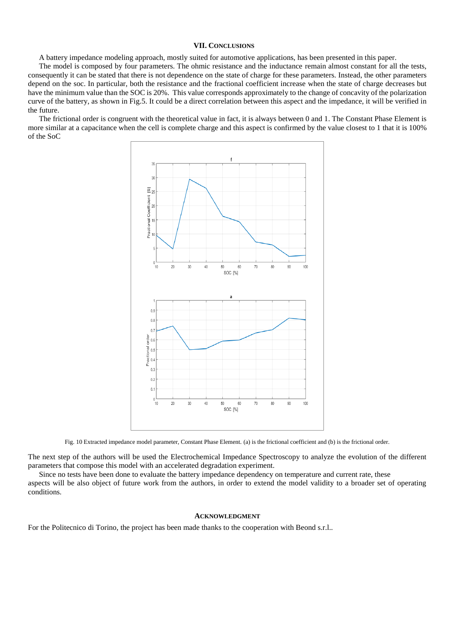# **VII. CONCLUSIONS**

A battery impedance modeling approach, mostly suited for automotive applications, has been presented in this paper.

The model is composed by four parameters. The ohmic resistance and the inductance remain almost constant for all the tests, consequently it can be stated that there is not dependence on the state of charge for these parameters. Instead, the other parameters depend on the soc. In particular, both the resistance and the fractional coefficient increase when the state of charge decreases but have the minimum value than the SOC is 20%. This value corresponds approximately to the change of concavity of the polarization curve of the battery, as shown in Fig.5. It could be a direct correlation between this aspect and the impedance, it will be verified in the future.

The frictional order is congruent with the theoretical value in fact, it is always between 0 and 1. The Constant Phase Element is more similar at a capacitance when the cell is complete charge and this aspect is confirmed by the value closest to 1 that it is 100% of the SoC



Fig. 10 Extracted impedance model parameter, Constant Phase Element. (a) is the frictional coefficient and (b) is the frictional order.

The next step of the authors will be used the Electrochemical Impedance Spectroscopy to analyze the evolution of the different parameters that compose this model with an accelerated degradation experiment.

Since no tests have been done to evaluate the battery impedance dependency on temperature and current rate, these

aspects will be also object of future work from the authors, in order to extend the model validity to a broader set of operating conditions.

## **ACKNOWLEDGMENT**

For the Politecnico di Torino, the project has been made thanks to the cooperation with Beond s.r.l..